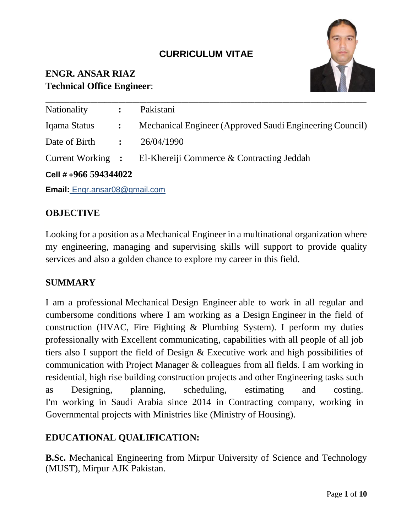# **CURRICULUM VITAE**

# **ENGR. ANSAR RIAZ Technical Office Engineer**:



| Cell #+966 594344022 |  |                                                             |
|----------------------|--|-------------------------------------------------------------|
|                      |  | Current Working : El-Khereiji Commerce & Contracting Jeddah |
| Date of Birth :      |  | 26/04/1990                                                  |
| Iqama Status :       |  | Mechanical Engineer (Approved Saudi Engineering Council)    |
| Nationality          |  | : Pakistani                                                 |

**Email:** [Engr.ansar08@gmail.com](mailto:Engr.ansar08@gmail.com)

#### **OBJECTIVE**

Looking for a position as a Mechanical Engineer in a multinational organization where my engineering, managing and supervising skills will support to provide quality services and also a golden chance to explore my career in this field.

#### **SUMMARY**

I am a professional Mechanical Design Engineer able to work in all regular and cumbersome conditions where I am working as a Design Engineer in the field of construction (HVAC, Fire Fighting & Plumbing System). I perform my duties professionally with Excellent communicating, capabilities with all people of all job tiers also I support the field of Design & Executive work and high possibilities of communication with Project Manager & colleagues from all fields. I am working in residential, high rise building construction projects and other Engineering tasks such as Designing, planning, scheduling, estimating and costing. I'm working in Saudi Arabia since 2014 in Contracting company, working in Governmental projects with Ministries like (Ministry of Housing).

#### **EDUCATIONAL QUALIFICATION:**

**B.Sc.** Mechanical Engineering from Mirpur University of Science and Technology (MUST), Mirpur AJK Pakistan.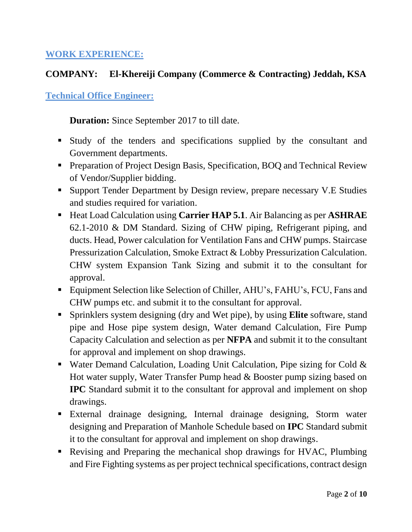#### **WORK EXPERIENCE:**

### **COMPANY: El-Khereiji Company (Commerce & Contracting) Jeddah, KSA**

#### **Technical Office Engineer:**

**Duration:** Since September 2017 to till date.

- Study of the tenders and specifications supplied by the consultant and Government departments.
- **Preparation of Project Design Basis, Specification, BOQ and Technical Review** of Vendor/Supplier bidding.
- Support Tender Department by Design review, prepare necessary V.E Studies and studies required for variation.
- Heat Load Calculation using **Carrier HAP 5.1**. Air Balancing as per **ASHRAE** 62.1-2010 & DM Standard. Sizing of CHW piping, Refrigerant piping, and ducts. Head, Power calculation for Ventilation Fans and CHW pumps. Staircase Pressurization Calculation, Smoke Extract & Lobby Pressurization Calculation. CHW system Expansion Tank Sizing and submit it to the consultant for approval.
- Equipment Selection like Selection of Chiller, AHU's, FAHU's, FCU, Fans and CHW pumps etc. and submit it to the consultant for approval.
- Sprinklers system designing (dry and Wet pipe), by using **Elite** software, stand pipe and Hose pipe system design, Water demand Calculation, Fire Pump Capacity Calculation and selection as per **NFPA** and submit it to the consultant for approval and implement on shop drawings.
- **•** Water Demand Calculation, Loading Unit Calculation, Pipe sizing for Cold  $\&$ Hot water supply, Water Transfer Pump head & Booster pump sizing based on **IPC** Standard submit it to the consultant for approval and implement on shop drawings.
- External drainage designing, Internal drainage designing, Storm water designing and Preparation of Manhole Schedule based on **IPC** Standard submit it to the consultant for approval and implement on shop drawings.
- Revising and Preparing the mechanical shop drawings for HVAC, Plumbing and Fire Fighting systems as per project technical specifications, contract design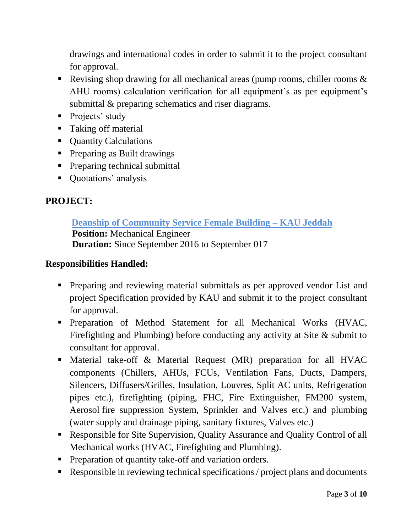drawings and international codes in order to submit it to the project consultant for approval.

- **•** Revising shop drawing for all mechanical areas (pump rooms, chiller rooms  $\&$ AHU rooms) calculation verification for all equipment's as per equipment's submittal & preparing schematics and riser diagrams.
- Projects' study
- Taking off material
- Ouantity Calculations
- Preparing as Built drawings
- **•** Preparing technical submittal
- Quotations' analysis

# **PROJECT:**

#### **Deanship of Community Service Female Building – KAU Jeddah Position:** Mechanical Engineer **Duration:** Since September 2016 to September 017

- **•** Preparing and reviewing material submittals as per approved vendor List and project Specification provided by KAU and submit it to the project consultant for approval.
- Preparation of Method Statement for all Mechanical Works (HVAC, Firefighting and Plumbing) before conducting any activity at Site & submit to consultant for approval.
- Material take-off & Material Request (MR) preparation for all HVAC components (Chillers, AHUs, FCUs, Ventilation Fans, Ducts, Dampers, Silencers, Diffusers/Grilles, Insulation, Louvres, Split AC units, Refrigeration pipes etc.), firefighting (piping, FHC, Fire Extinguisher, FM200 system, Aerosol fire suppression System, Sprinkler and Valves etc.) and plumbing (water supply and drainage piping, sanitary fixtures, Valves etc.)
- Responsible for Site Supervision, Quality Assurance and Quality Control of all Mechanical works (HVAC, Firefighting and Plumbing).
- **•** Preparation of quantity take-off and variation orders.
- Responsible in reviewing technical specifications / project plans and documents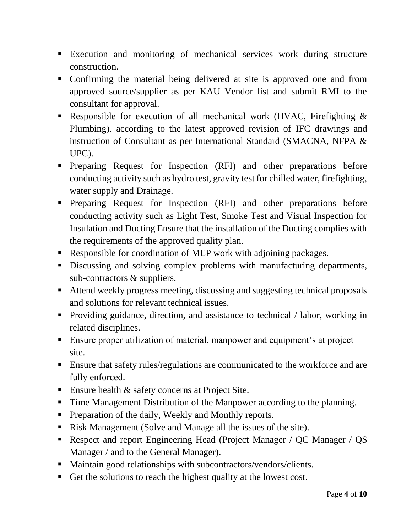- Execution and monitoring of mechanical services work during structure construction.
- Confirming the material being delivered at site is approved one and from approved source/supplier as per KAU Vendor list and submit RMI to the consultant for approval.
- **•** Responsible for execution of all mechanical work (HVAC, Firefighting  $\&$ Plumbing). according to the latest approved revision of IFC drawings and instruction of Consultant as per International Standard (SMACNA, NFPA & UPC).
- Preparing Request for Inspection (RFI) and other preparations before conducting activity such as hydro test, gravity test for chilled water, firefighting, water supply and Drainage.
- Preparing Request for Inspection (RFI) and other preparations before conducting activity such as Light Test, Smoke Test and Visual Inspection for Insulation and Ducting Ensure that the installation of the Ducting complies with the requirements of the approved quality plan.
- Responsible for coordination of MEP work with adjoining packages.
- **EXECUTE:** Discussing and solving complex problems with manufacturing departments, sub-contractors & suppliers.
- Attend weekly progress meeting, discussing and suggesting technical proposals and solutions for relevant technical issues.
- **•** Providing guidance, direction, and assistance to technical / labor, working in related disciplines.
- **Ensure proper utilization of material, manpower and equipment's at project** site.
- **Ensure that safety rules/regulations are communicated to the workforce and are** fully enforced.
- **Ensure health & safety concerns at Project Site.**
- Time Management Distribution of the Manpower according to the planning.
- **•** Preparation of the daily, Weekly and Monthly reports.
- Risk Management (Solve and Manage all the issues of the site).
- **EXECTE:** Respect and report Engineering Head (Project Manager / QC Manager / QS Manager / and to the General Manager).
- Maintain good relationships with subcontractors/vendors/clients.
- Get the solutions to reach the highest quality at the lowest cost.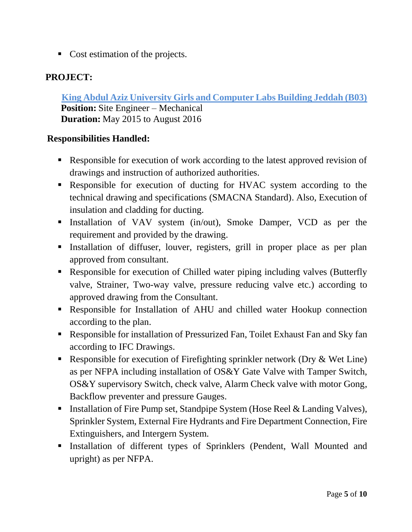■ Cost estimation of the projects.

## **PROJECT:**

 **King Abdul Aziz University Girls and Computer Labs Building Jeddah (B03) Position:** Site Engineer – Mechanical  **Duration:** May 2015 to August 2016

- Responsible for execution of work according to the latest approved revision of drawings and instruction of authorized authorities.
- Responsible for execution of ducting for HVAC system according to the technical drawing and specifications (SMACNA Standard). Also, Execution of insulation and cladding for ducting.
- **Exercise 1** Installation of VAV system (in/out), Smoke Damper, VCD as per the requirement and provided by the drawing.
- Installation of diffuser, louver, registers, grill in proper place as per plan approved from consultant.
- Responsible for execution of Chilled water piping including valves (Butterfly valve, Strainer, Two-way valve, pressure reducing valve etc.) according to approved drawing from the Consultant.
- Responsible for Installation of AHU and chilled water Hookup connection according to the plan.
- Responsible for installation of Pressurized Fan, Toilet Exhaust Fan and Sky fan according to IFC Drawings.
- **•** Responsible for execution of Firefighting sprinkler network (Dry  $\&$  Wet Line) as per NFPA including installation of OS&Y Gate Valve with Tamper Switch, OS&Y supervisory Switch, check valve, Alarm Check valve with motor Gong, Backflow preventer and pressure Gauges.
- Installation of Fire Pump set, Standpipe System (Hose Reel & Landing Valves), Sprinkler System, External Fire Hydrants and Fire Department Connection, Fire Extinguishers, and Intergern System.
- Installation of different types of Sprinklers (Pendent, Wall Mounted and upright) as per NFPA.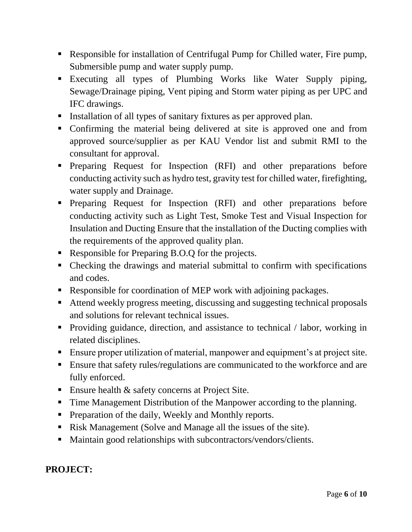- Responsible for installation of Centrifugal Pump for Chilled water, Fire pump, Submersible pump and water supply pump.
- Executing all types of Plumbing Works like Water Supply piping, Sewage/Drainage piping, Vent piping and Storm water piping as per UPC and IFC drawings.
- Installation of all types of sanitary fixtures as per approved plan.
- Confirming the material being delivered at site is approved one and from approved source/supplier as per KAU Vendor list and submit RMI to the consultant for approval.
- Preparing Request for Inspection (RFI) and other preparations before conducting activity such as hydro test, gravity test for chilled water, firefighting, water supply and Drainage.
- Preparing Request for Inspection (RFI) and other preparations before conducting activity such as Light Test, Smoke Test and Visual Inspection for Insulation and Ducting Ensure that the installation of the Ducting complies with the requirements of the approved quality plan.
- Responsible for Preparing B.O.Q for the projects.
- Checking the drawings and material submittal to confirm with specifications and codes.
- Responsible for coordination of MEP work with adjoining packages.
- Attend weekly progress meeting, discussing and suggesting technical proposals and solutions for relevant technical issues.
- Providing guidance, direction, and assistance to technical / labor, working in related disciplines.
- Ensure proper utilization of material, manpower and equipment's at project site.
- Ensure that safety rules/regulations are communicated to the workforce and are fully enforced.
- **Ensure health & safety concerns at Project Site.**
- Time Management Distribution of the Manpower according to the planning.
- **•** Preparation of the daily, Weekly and Monthly reports.
- Risk Management (Solve and Manage all the issues of the site).
- Maintain good relationships with subcontractors/vendors/clients.

# **PROJECT:**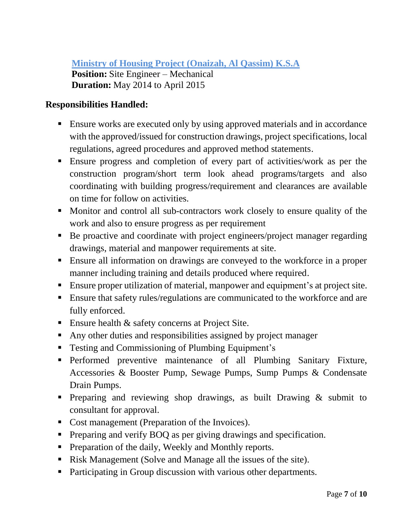**Ministry of Housing Project (Onaizah, Al Qassim) K.S.A Position:** Site Engineer – Mechanical **Duration:** May 2014 to April 2015

- Ensure works are executed only by using approved materials and in accordance with the approved/issued for construction drawings, project specifications, local regulations, agreed procedures and approved method statements.
- Ensure progress and completion of every part of activities/work as per the construction program/short term look ahead programs/targets and also coordinating with building progress/requirement and clearances are available on time for follow on activities.
- Monitor and control all sub-contractors work closely to ensure quality of the work and also to ensure progress as per requirement
- Be proactive and coordinate with project engineers/project manager regarding drawings, material and manpower requirements at site.
- Ensure all information on drawings are conveyed to the workforce in a proper manner including training and details produced where required.
- Ensure proper utilization of material, manpower and equipment's at project site.
- Ensure that safety rules/regulations are communicated to the workforce and are fully enforced.
- **Ensure health & safety concerns at Project Site.**
- Any other duties and responsibilities assigned by project manager
- Testing and Commissioning of Plumbing Equipment's
- **•** Performed preventive maintenance of all Plumbing Sanitary Fixture, Accessories & Booster Pump, Sewage Pumps, Sump Pumps & Condensate Drain Pumps.
- **•** Preparing and reviewing shop drawings, as built Drawing & submit to consultant for approval.
- Cost management (Preparation of the Invoices).
- **•** Preparing and verify BOQ as per giving drawings and specification.
- Preparation of the daily, Weekly and Monthly reports.
- Risk Management (Solve and Manage all the issues of the site).
- Participating in Group discussion with various other departments.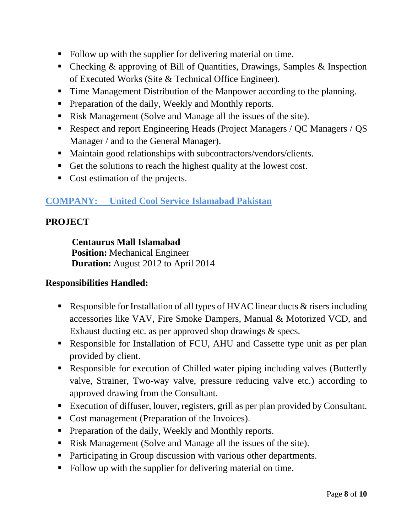- Follow up with the supplier for delivering material on time.
- Checking & approving of Bill of Quantities, Drawings, Samples & Inspection of Executed Works (Site & Technical Office Engineer).
- Time Management Distribution of the Manpower according to the planning.
- **•** Preparation of the daily, Weekly and Monthly reports.
- Risk Management (Solve and Manage all the issues of the site).
- Respect and report Engineering Heads (Project Managers / QC Managers / QS Manager / and to the General Manager).
- Maintain good relationships with subcontractors/vendors/clients.
- Get the solutions to reach the highest quality at the lowest cost.
- Cost estimation of the projects.

### **COMPANY: United Cool Service Islamabad Pakistan**

### **PROJECT**

**Centaurus Mall Islamabad**

**Position:** Mechanical Engineer **Duration:** August 2012 to April 2014

- **Example 1** Responsible for Installation of all types of HVAC linear ducts  $\&$  risers including accessories like VAV, Fire Smoke Dampers, Manual & Motorized VCD, and Exhaust ducting etc. as per approved shop drawings & specs.
- Responsible for Installation of FCU, AHU and Cassette type unit as per plan provided by client.
- Responsible for execution of Chilled water piping including valves (Butterfly valve, Strainer, Two-way valve, pressure reducing valve etc.) according to approved drawing from the Consultant.
- Execution of diffuser, louver, registers, grill as per plan provided by Consultant.
- Cost management (Preparation of the Invoices).
- Preparation of the daily, Weekly and Monthly reports.
- Risk Management (Solve and Manage all the issues of the site).
- Participating in Group discussion with various other departments.
- Follow up with the supplier for delivering material on time.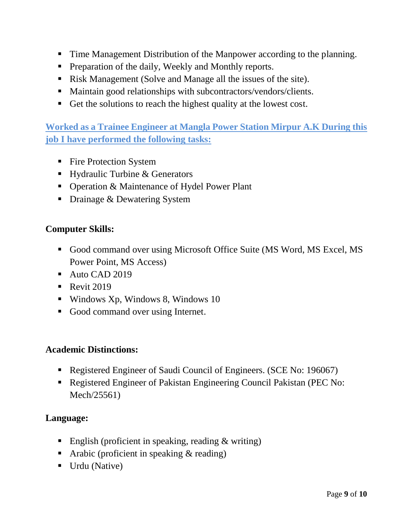- Time Management Distribution of the Manpower according to the planning.
- **•** Preparation of the daily, Weekly and Monthly reports.
- Risk Management (Solve and Manage all the issues of the site).
- Maintain good relationships with subcontractors/vendors/clients.
- Get the solutions to reach the highest quality at the lowest cost.

**Worked as a Trainee Engineer at Mangla Power Station Mirpur A.K During this job I have performed the following tasks:**

- Fire Protection System
- Hydraulic Turbine & Generators
- Operation & Maintenance of Hydel Power Plant
- Drainage & Dewatering System

#### **Computer Skills:**

- Good command over using Microsoft Office Suite (MS Word, MS Excel, MS Power Point, MS Access)
- Auto CAD 2019
- $\blacksquare$  Revit 2019
- $\blacksquare$  Windows Xp, Windows 8, Windows 10
- Good command over using Internet.

#### **Academic Distinctions:**

- Registered Engineer of Saudi Council of Engineers. (SCE No: 196067)
- Registered Engineer of Pakistan Engineering Council Pakistan (PEC No: Mech/25561)

#### **Language:**

- **English (proficient in speaking, reading**  $\&$  **writing)**
- Arabic (proficient in speaking  $&$  reading)
- Urdu (Native)